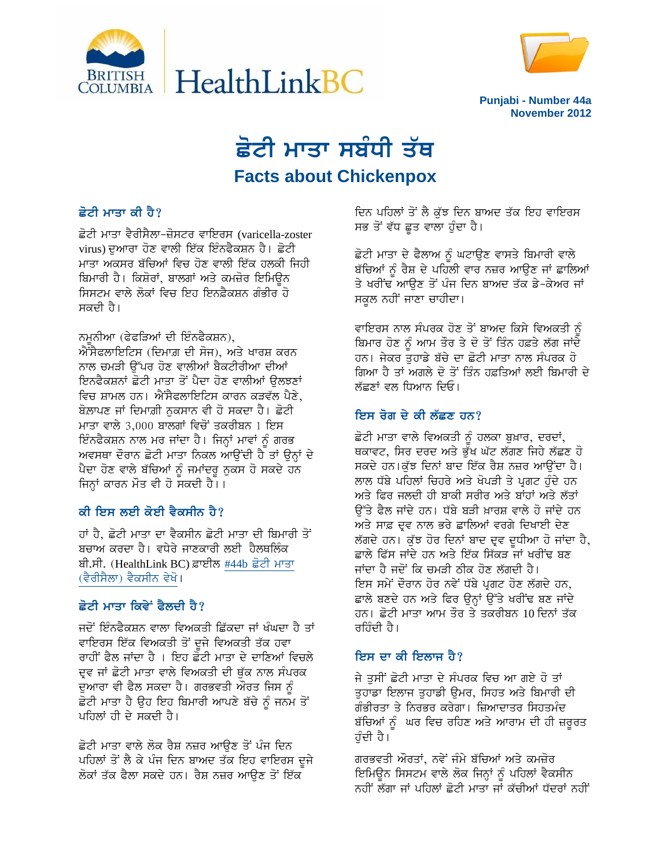



**Punjabi - Number 44a** November 2012

# ਛੋਟੀ ਮਾਤਾ ਸਬੰਧੀ ਤੱਥ **Facts about Chickenpox**

## ਛੋਟੀ ਮਾਤਾ ਕੀ ਹੈ?

ਛੋਟੀ ਮਾਤਾ ਵੈਰੀਸੈਲਾ-ਜ਼ੋਸਟਰ ਵਾਇਰਸ (varicella-zoster virus) ਦੁਆਰਾ ਹੋਣ ਵਾਲੀ ਇੱਕ ਇੰਨਫੈਕਸ਼ਨ ਹੈ। ਛੋਟੀ ਮਾਤਾ ਅਕਸਰ ਬੱਚਿਆਂ ਵਿਚ ਹੋਣ ਵਾਲੀ ਇੱਕ ਹਲਕੀ ਜਿਹੀ ਬਿਮਾਰੀ ਹੈ। ਕਿਸ਼ੋਰਾਂ, ਬਾਲਗਾਂ ਅਤੇ ਕਮਜ਼ੋਰ ਇਮਿਊਨ ਸਿਸਟਮ ਵਾਲੇ ਲੋਕਾਂ ਵਿਚ ਇਹ ਇਨਫ਼ੈਕਸ਼ਨ ਗੰਭੀਰ ਹੋ ਸਕਦੀ ਹੈ।

ਨਮੁਨੀਆ (ਫੇਫੜਿਆਂ ਦੀ ਇੰਨਫੈਕਸ਼ਨ),

ਐਂਸੈਫਲਾਇਟਿਸ (ਦਿਮਾਗ਼ ਦੀ ਸੋਜ), ਅਤੇ ਖਾਰਸ਼ ਕਰਨ ਨਾਲ ਚਮੜੀ ਉੱਪਰ ਹੋਣ ਵਾਲੀਆਂ ਬੈਕਟੀਰੀਆ ਦੀਆਂ ਇਨਫੈਕਸ਼ਨਾਂ ਛੋਟੀ ਮਾਤਾ ਤੋਂ ਪੈਦਾ ਹੋਣ ਵਾਲੀਆਂ ੳਲਝਣਾਂ ਵਿਚ ਸ਼ਾਮਲ ਹਨ। ਐਂਸੈਫਲਾਇਟਿਸ ਕਾਰਨ ਕੜਵੱਲ ਪੈਣੇ, ਬੋਲਾਪਣ ਜਾਂ ਦਿਮਾਗ਼ੀ ਨਕਸਾਨ ਵੀ ਹੋ ਸਕਦਾ ਹੈ। ਛੋਟੀ ਮਾਤਾ ਵਾਲੇ 3,000 ਬਾਲਗਾਂ ਵਿਚੋਂ ਤਕਰੀਬਨ 1 ਇਸ ਇੰਨਫੈਕਸ਼ਨ ਨਾਲ ਮਰ ਜਾਂਦਾ ਹੈ। ਜਿਨ੍ਹਾਂ ਮਾਵਾਂ ਨੂੰ ਗਰਭ ਅਵਸਥਾ ਦੌਰਾਨ ਛੋਟੀ ਮਾਤਾ ਨਿਕਲ ਆਉਂਦੀ ਹੈ ਤਾਂ ਉਨ੍ਹਾਂ ਦੇ ਪੈਦਾ ਹੋਣ ਵਾਲੇ ਬੱਚਿਆਂ ਨੂੰ ਜਮਾਂਦਰੂ ਨੁਕਸ ਹੋ ਸਕਦੇ ਹਨ ਜਿਨ੍ਹਾਂ ਕਾਰਨ ਮੌਤ ਵੀ ਹੋ ਸਕਦੀ ਹੈ। ।

## ਕੀ ਇਸ ਲਈ ਕੋਈ ਵੈਕਸੀਨ ਹੈ?

ਹਾਂ ਹੈ, ਛੋਟੀ ਮਾਤਾ ਦਾ ਵੈਕਸੀਨ ਛੋਟੀ ਮਾਤਾ ਦੀ ਬਿਮਾਰੀ ਤੋਂ ਬਚਾਅ ਕਰਦਾ ਹੈ। ਵਧੇਰੇ ਜਾਣਕਾਰੀ ਲਈ ਹੈਲਥਲਿੰਕ ਬੀ.ਸੀ. (HealthLink BC)ਫ਼ਾਈਲ #44b ਛੋਟੀ ਮਾਤਾ (ਵੈਰੀਸੈਲਾ) ਵੈਕਸੀਨ ਵੇਖੋ।

# ਛੋਟੀ ਮਾਤਾ ਕਿਵੇਂ ਫੈਲਦੀ ਹੈ?

ਜਦੋਂ ਇੰਨਫੈਕਸ਼ਨ ਵਾਲਾ ਵਿਅਕਤੀ ਛਿੱਕਦਾ ਜਾਂ ਖੰਘਦਾ ਹੈ ਤਾਂ ਵਾਇਰਸ ਇੱਕ ਵਿਅਕਤੀ ਤੋਂ ਦੂਜੇ ਵਿਅਕਤੀ ਤੱਕ ਹਵਾ ਰਾਹੀਂ ਫੈਲ ਜਾਂਦਾ ਹੈ । ਇਹ ਛੋਟੀ ਮਾਤਾ ਦੇ ਦਾਣਿਆਂ ਵਿਚਲੇ ਦਵ ਜਾਂ ਛੋਟੀ ਮਾਤਾ ਵਾਲੇ ਵਿਅਕਤੀ ਦੀ ਥੱਕ ਨਾਲ ਸੰਪਰਕ ਦੁਆਰਾ ਵੀ ਫੈਲ ਸਕਦਾ ਹੈ। ਗਰਭਵਤੀ ਔਰਤ ਜਿਸ ਨੂੰ ਛੋਟੀ ਮਾਤਾ ਹੈ ਉਹ ਇਹ ਬਿਮਾਰੀ ਆਪਣੇ ਬੱਚੇ ਨੂੰ ਜਨਮ ਤੋਂ ਪਹਿਲਾਂ ਹੀ ਦੇ ਸਕਦੀ ਹੈ।

ਛੋਟੀ ਮਾਤਾ ਵਾਲੇ ਲੋਕ ਰੈਸ਼ ਨਜ਼ਰ ਆਉਣ ਤੋਂ ਪੰਜ ਦਿਨ ਪਹਿਲਾਂ ਤੋਂ ਲੈ ਕੇ ਪੰਜ ਦਿਨ ਬਾਅਦ ਤੱਕ ਇਹ ਵਾਇਰਸ ਦੂਜੇ ਲੋਕਾਂ ਤੱਕ ਫੈਲਾ ਸਕਦੇ ਹਨ। ਰੈਸ਼ ਨਜ਼ਰ ਆਉਣ ਤੋਂ ਇੱਕ

ਦਿਨ ਪਹਿਲਾਂ ਤੋਂ ਲੈ ਕੱਝ ਦਿਨ ਬਾਅਦ ਤੱਕ ਇਹ ਵਾਇਰਸ ਸਭ ਤੋਂ ਵੱਧ ਛੂਤ ਵਾਲਾ ਹੁੰਦਾ ਹੈ।

ਛੋਟੀ ਮਾਤਾ ਦੇ ਫੈਲਾਅ ਨੂੰ ਘਟਾਉਣ ਵਾਸਤੇ ਬਿਮਾਰੀ ਵਾਲੇ ਬੱਚਿਆਂ ਨੂੰ ਰੈਸ਼ ਦੇ ਪਹਿਲੀ ਵਾਰ ਨਜ਼ਰ ਆਉਣ ਜਾਂ ਛਾਲਿਆਂ ਤੇ ਖਰੀਂਢ ਆਉਣ ਤੋਂ ਪੰਜ ਦਿਨ ਬਾਅਦ ਤੱਕ ਡੇ-ਕੇਅਰ ਜਾਂ ਸਕੂਲ ਨਹੀਂ ਜਾਣਾ ਚਾਹੀਦਾ।

ਵਾਇਰਸ ਨਾਲ ਸੰਪਰਕ ਹੋਣ ਤੋਂ ਬਾਅਦ ਕਿਸੇ ਵਿਅਕਤੀ ਨੂੰ ਬਿਮਾਰ ਹੋਣ ਨੂੰ ਆਮ ਤੌਰ ਤੇ ਦੋ ਤੋਂ ਤਿੰਨ ਹਫ਼ਤੇ ਲੱਗ ਜਾਂਦੇ ਹਨ। ਜੇਕਰ ਤੁਹਾਡੇ ਬੱਚੇ ਦਾ ਛੋਟੀ ਮਾਤਾ ਨਾਲ ਸੰਪਰਕ ਹੋ ਗਿਆ ਹੈ ਤਾਂ ਅਗਲੇ ਦੋ ਤੋਂ ਤਿੰਨ ਹਫ਼ਤਿਆਂ ਲਈ ਬਿਮਾਰੀ ਦੇ ਲੱਛਣਾਂ ਵਲ ਧਿਆਨ ਦਿਓ।

# ਇਸ ਰੋਗ ਦੇ ਕੀ ਲੱਛਣ ਹਨ?

ਛੋਟੀ ਮਾਤਾ ਵਾਲੇ ਵਿਅਕਤੀ ਨੂੰ ਹਲਕਾ ਬੁਖ਼ਾਰ, ਦਰਦਾਂ, ਥਕਾਵਟ, ਸਿਰ ਦਰਦ ਅਤੇ ਭੁੱਖ ਘੱਟ ਲੱਗਣ ਜਿਹੇ ਲੱਛਣ ਹੋ ਸਕਦੇ ਹਨ।ਕੱਝ ਦਿਨਾਂ ਬਾਦ ਇੱਕ ਰੈਸ਼ ਨਜ਼ਰ ਆਉਂਦਾ ਹੈ। ਲਾਲ ਧੱਬੇ ਪਹਿਲਾਂ ਚਿਹਰੇ ਅਤੇ ਖੋਪੜੀ ਤੇ ਪੁਗਟ ਹੰਦੇ ਹਨ ਅਤੇ ਫਿਰ ਜਲਦੀ ਹੀ ਬਾਕੀ ਸਰੀਰ ਅਤੇ ਬਾਂਹਾਂ ਅਤੇ ਲੱਤਾਂ ਉੱਤੇ ਫੈਲ ਜਾਂਦੇ ਹਨ। ਧੱਬੇ ਬੜੀ ਖ਼ਾਰਸ਼ ਵਾਲੇ ਹੋ ਜਾਂਦੇ ਹਨ ਅਤੇ ਸਾਫ਼ ਦ੍ਰਵ ਨਾਲ ਭਰੇ ਛਾਲਿਆਂ ਵਰਗੇ ਦਿਖਾਈ ਦੇਣ ਲੱਗਦੇ ਹਨ। ਕੁੱਝ ਹੋਰ ਦਿਨਾਂ ਬਾਦ ਦ੍ਰਵ ਦੁਧੀਆ ਹੋ ਜਾਂਦਾ ਹੈ, ਛਾਲੇ ਫਿੱਸ ਜਾਂਦੇ ਹਨ ਅਤੇ ਇੱਕ ਸਿੱਕੜ ਜਾਂ ਖਰੀਂਢ ਬਣ ਜਾਂਦਾ ਹੈ ਜਦੋਂ ਕਿ ਚਮੜੀ ਠੀਕ ਹੋਣ ਲੱਗਦੀ ਹੈ। ਇਸ ਸਮੇਂ ਦੌਰਾਨ ਹੋਰ ਨਵੇਂ ਧੱਬੇ ਪਗਟ ਹੋਣ ਲੱਗਦੇ ਹਨ, ਛਾਲੇ ਬਣਦੇ ਹਨ ਅਤੇ ਫਿਰ ਉਨ੍ਹਾਂ ਉੱਤੇ ਖਰੀਂਢ ਬਣ ਜਾਂਦੇ ਹਨ। ਛੋਟੀ ਮਾਤਾ ਆਮ ਤੌਰ ਤੇ ਤਕਰੀਬਨ 10 ਦਿਨਾਂ ਤੱਕ ਰਹਿੰਦੀ ਹੈ।

## ਇਸ ਦਾ ਕੀ ਇਲਾਜ ਹੈ?

ਜੇ ਤਸੀਂ ਛੋਟੀ ਮਾਤਾ ਦੇ ਸੰਪਰਕ ਵਿਚ ਆ ਗਏ ਹੋ ਤਾਂ ਤਹਾਡਾ ਇਲਾਜ ਤਹਾਡੀ ੳਮਰ, ਸਿਹਤ ਅਤੇ ਬਿਮਾਰੀ ਦੀ ਗੰਭੀਰਤਾ ਤੇ ਨਿਰਭਰ ਕਰੇਗਾ। ਜ਼ਿਆਦਾਤਰ ਸਿਹਤਮੰਦ ਬੱਚਿਆਂ ਨੂੰ ਘਰ ਵਿਚ ਰਹਿਣ ਅਤੇ ਆਰਾਮ ਦੀ ਹੀ ਜ਼ਰੂਰਤ ਹੌਦੀ ਹੈ।

ਗਰਭਵਤੀ ਔਰਤਾਂ, ਨਵੇਂ ਜੰਮੇ ਬੱਚਿਆਂ ਅਤੇ ਕਮਜ਼ੋਰ ਇਮਿਊਨ ਸਿਸਟਮ ਵਾਲੇ ਲੋਕ ਜਿਨ੍ਹਾਂ ਨੂੰ ਪਹਿਲਾਂ ਵੈਕਸੀਨ ਨਹੀਂ ਲੱਗਾ ਜਾਂ ਪਹਿਲਾਂ ਛੋਟੀ ਮਾਤਾ ਜਾਂ ਕੱਚੀਆਂ ਧੱਦਰਾਂ ਨਹੀਂ